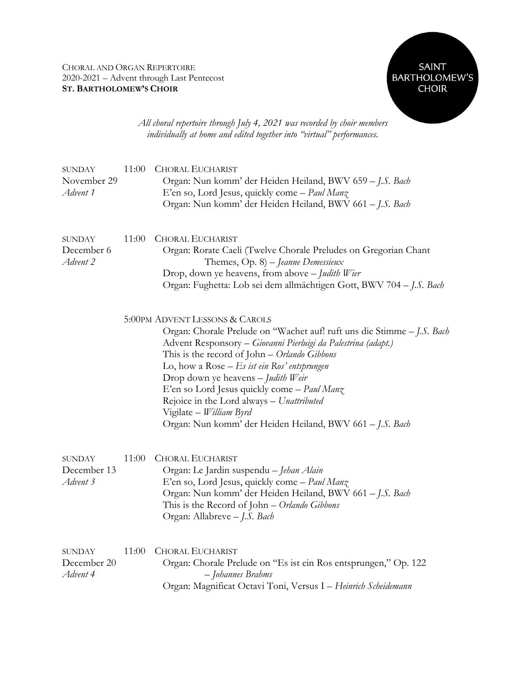

*All choral repertoire through July 4, 2021 was recorded by choir members individually at home and edited together into "virtual" performances.*

| <b>SUNDAY</b><br>November 29<br>Advent 1 | 11:00 | <b>CHORAL EUCHARIST</b><br>Organ: Nun komm' der Heiden Heiland, BWV 659 - J.S. Bach<br>E'en so, Lord Jesus, quickly come - Paul Manz<br>Organ: Nun komm' der Heiden Heiland, BWV 661 - J.S. Bach                                                                                                                                                                                                                                                                                                    |
|------------------------------------------|-------|-----------------------------------------------------------------------------------------------------------------------------------------------------------------------------------------------------------------------------------------------------------------------------------------------------------------------------------------------------------------------------------------------------------------------------------------------------------------------------------------------------|
| <b>SUNDAY</b><br>December 6<br>Advent 2  | 11:00 | <b>CHORAL EUCHARIST</b><br>Organ: Rorate Caeli (Twelve Chorale Preludes on Gregorian Chant<br>Themes, Op. 8) - Jeanne Demessieux<br>Drop, down ye heavens, from above - Judith Wier<br>Organ: Fughetta: Lob sei dem allmächtigen Gott, BWV 704 - J.S. Bach                                                                                                                                                                                                                                          |
|                                          |       | 5:00PM ADVENT LESSONS & CAROLS<br>Organ: Chorale Prelude on "Wachet auf! ruft uns die Stimme - J.S. Bach<br>Advent Responsory - Giovanni Pierluigi da Palestrina (adapt.)<br>This is the record of John - Orlando Gibbons<br>Lo, how a Rose $-Es$ ist ein Ros' entsprungen<br>Drop down ye heavens - Judith Weir<br>E'en so Lord Jesus quickly come - Paul Manz<br>Rejoice in the Lord always - Unattributed<br>Vigilate - William Byrd<br>Organ: Nun komm' der Heiden Heiland, BWV 661 - J.S. Bach |
| <b>SUNDAY</b><br>December 13<br>Advent 3 | 11:00 | <b>CHORAL EUCHARIST</b><br>Organ: Le Jardin suspendu - Jehan Alain<br>E'en so, Lord Jesus, quickly come - Paul Manz<br>Organ: Nun komm' der Heiden Heiland, BWV 661 - J.S. Bach<br>This is the Record of John – Orlando Gibbons<br>Organ: Allabreve - J.S. Bach                                                                                                                                                                                                                                     |
| <b>SUNDAY</b><br>December 20<br>Advent 4 | 11:00 | <b>CHORAL EUCHARIST</b><br>Organ: Chorale Prelude on "Es ist ein Ros entsprungen," Op. 122<br>- Johannes Brahms<br>Organ: Magnificat Octavi Toni, Versus I - Heinrich Scheidemann                                                                                                                                                                                                                                                                                                                   |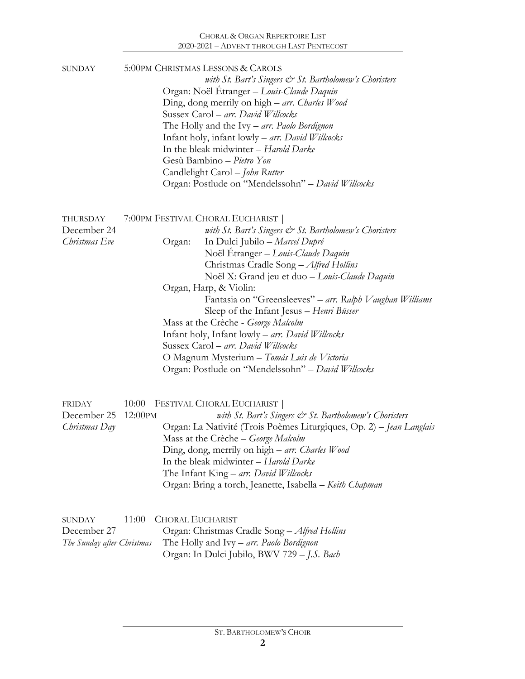## CHORAL & ORGAN REPERTOIRE LIST 2020-2021 – ADVENT THROUGH LAST PENTECOST

| <b>SUNDAY</b>                                       | 5:00PM CHRISTMAS LESSONS & CAROLS<br>with St. Bart's Singers $\mathcal{Q}$ St. Bartholomew's Choristers<br>Organ: Noël Etranger - Louis-Claude Daquin<br>Ding, dong merrily on high - arr. Charles Wood<br>Sussex Carol - arr. David Willcocks<br>The Holly and the Ivy – arr. Paolo Bordignon<br>Infant holy, infant lowly - arr. David Willcocks<br>In the bleak midwinter - Harold Darke<br>Gesù Bambino - Pietro Yon<br>Candlelight Carol - John Rutter<br>Organ: Postlude on "Mendelssohn" - David Willcocks                                                                                                                                              |
|-----------------------------------------------------|----------------------------------------------------------------------------------------------------------------------------------------------------------------------------------------------------------------------------------------------------------------------------------------------------------------------------------------------------------------------------------------------------------------------------------------------------------------------------------------------------------------------------------------------------------------------------------------------------------------------------------------------------------------|
| THURSDAY<br>December 24<br>Christmas Eve            | 7:00PM FESTIVAL CHORAL EUCHARIST<br>with St. Bart's Singers $\mathcal{Q}$ St. Bartholomew's Choristers<br>In Dulci Jubilo - Marcel Dupré<br>Organ:<br>Noël Etranger - Louis-Claude Daquin<br>Christmas Cradle Song - Alfred Hollins<br>Noël X: Grand jeu et duo - Louis-Claude Daquin<br>Organ, Harp, & Violin:<br>Fantasia on "Greensleeves" – arr. Ralph Vaughan Williams<br>Sleep of the Infant Jesus - Henri Büsser<br>Mass at the Crèche - George Malcolm<br>Infant holy, Infant lowly - arr. David Willcocks<br>Sussex Carol - arr. David Willcocks<br>O Magnum Mysterium – Tomás Luis de Victoria<br>Organ: Postlude on "Mendelssohn" - David Willcocks |
| <b>FRIDAY</b><br>December 25<br>Christmas Day       | FESTIVAL CHORAL EUCHARIST<br>10:00<br>12:00PM<br>with St. Bart's Singers $\mathcal{Q}$ St. Bartholomew's Choristers<br>Organ: La Nativité (Trois Poèmes Liturgiques, Op. 2) - Jean Langlais<br>Mass at the Crèche - George Malcolm<br>Ding, dong, merrily on high – arr. Charles Wood<br>In the bleak midwinter - Harold Darke<br>The Infant King - arr. David Willcocks<br>Organ: Bring a torch, Jeanette, Isabella - Keith Chapman                                                                                                                                                                                                                           |
| SUNDAY<br>December 27<br>The Sunday after Christmas | 11:00<br><b>CHORAL EUCHARIST</b><br>Organ: Christmas Cradle Song - Alfred Hollins<br>The Holly and Ivy – arr. Paolo Bordignon<br>Organ: In Dulci Jubilo, BWV 729 - J.S. Bach                                                                                                                                                                                                                                                                                                                                                                                                                                                                                   |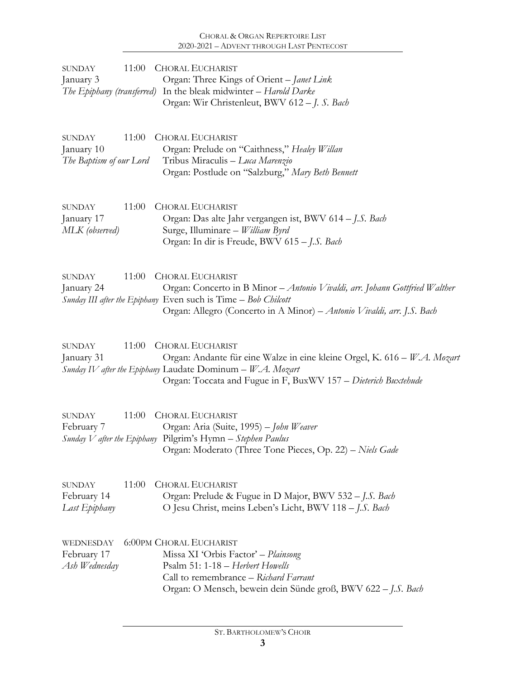| 11:00<br><b>SUNDAY</b><br>January 3<br>The Epiphany (transferred) | <b>CHORAL EUCHARIST</b><br>Organ: Three Kings of Orient - Janet Link<br>In the bleak midwinter - Harold Darke                                                                                                                                      |
|-------------------------------------------------------------------|----------------------------------------------------------------------------------------------------------------------------------------------------------------------------------------------------------------------------------------------------|
|                                                                   | Organ: Wir Christenleut, BWV 612 - J. S. Bach                                                                                                                                                                                                      |
| 11:00<br><b>SUNDAY</b><br>January 10<br>The Baptism of our Lord   | <b>CHORAL EUCHARIST</b><br>Organ: Prelude on "Caithness," Healey Willan<br>Tribus Miraculis - Luca Marenzio<br>Organ: Postlude on "Salzburg," Mary Beth Bennett                                                                                    |
| 11:00<br><b>SUNDAY</b><br>January 17<br>MLK (observed)            | <b>CHORAL EUCHARIST</b><br>Organ: Das alte Jahr vergangen ist, BWV 614 – J.S. Bach<br>Surge, Illuminare - William Byrd<br>Organ: In dir is Freude, BWV 615 - J.S. Bach                                                                             |
| 11:00<br><b>SUNDAY</b><br>January 24                              | <b>CHORAL EUCHARIST</b><br>Organ: Concerto in B Minor - Antonio Vivaldi, arr. Johann Gottfried Walther<br>Sunday III after the Epiphany Even such is Time - Bob Chilcott<br>Organ: Allegro (Concerto in A Minor) - Antonio Vivaldi, arr. J.S. Bach |
| 11:00<br><b>SUNDAY</b><br>January 31                              | <b>CHORAL EUCHARIST</b><br>Organ: Andante für eine Walze in eine kleine Orgel, K. 616 – W.A. Mozart<br>Sunday IV after the Epiphany Laudate Dominum - W.A. Mozart<br>Organ: Toccata and Fugue in F, BuxWV 157 – Dieterich Buxtehude                |
| 11:00<br><b>SUNDAY</b><br>February 7                              | <b>CHORAL EUCHARIST</b><br>Organ: Aria (Suite, 1995) - John Weaver<br>Sunday V after the Epiphany Pilgrim's Hymn - Stephen Paulus<br>Organ: Moderato (Three Tone Pieces, Op. 22) - Niels Gade                                                      |
| 11:00<br><b>SUNDAY</b><br>February 14<br>Last Epiphany            | <b>CHORAL EUCHARIST</b><br>Organ: Prelude & Fugue in D Major, BWV 532 - J.S. Bach<br>O Jesu Christ, meins Leben's Licht, BWV 118 - J.S. Bach                                                                                                       |
| WEDNESDAY<br>February 17<br>Ash Wednesday                         | <b>6:00PM CHORAL EUCHARIST</b><br>Missa XI 'Orbis Factor' - Plainsong<br>Psalm 51: 1-18 - Herbert Howells<br>Call to remembrance - Richard Farrant<br>Organ: O Mensch, bewein dein Sünde groß, BWV 622 - J.S. Bach                                 |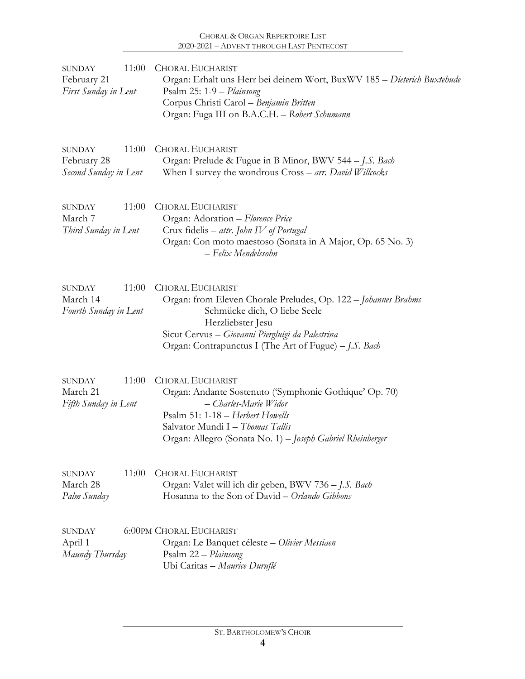| 11:00<br><b>SUNDAY</b><br>February 21<br>First Sunday in Lent  | <b>CHORAL EUCHARIST</b><br>Organ: Erhalt uns Herr bei deinem Wort, BuxWV 185 - Dieterich Buxtehude<br>Psalm 25: 1-9 - Plainsong<br>Corpus Christi Carol - Benjamin Britten<br>Organ: Fuga III on B.A.C.H. - Robert Schumann                                 |  |  |
|----------------------------------------------------------------|-------------------------------------------------------------------------------------------------------------------------------------------------------------------------------------------------------------------------------------------------------------|--|--|
| 11:00<br><b>SUNDAY</b><br>February 28<br>Second Sunday in Lent | <b>CHORAL EUCHARIST</b><br>Organ: Prelude & Fugue in B Minor, BWV 544 - J.S. Bach<br>When I survey the wondrous Cross - arr. David Willcocks                                                                                                                |  |  |
| 11:00<br><b>SUNDAY</b><br>March 7<br>Third Sunday in Lent      | <b>CHORAL EUCHARIST</b><br>Organ: Adoration - Florence Price<br>Crux fidelis - attr. John IV of Portugal<br>Organ: Con moto maestoso (Sonata in A Major, Op. 65 No. 3)<br>$-$ Felix Mendelssohn                                                             |  |  |
| 11:00<br><b>SUNDAY</b><br>March 14<br>Fourth Sunday in Lent    | <b>CHORAL EUCHARIST</b><br>Organ: from Eleven Chorale Preludes, Op. 122 - Johannes Brahms<br>Schmücke dich, O liebe Seele<br>Herzliebster Jesu<br>Sicut Cervus - Giovanni Piergluigi da Palestrina<br>Organ: Contrapunctus I (The Art of Fugue) – J.S. Bach |  |  |
| 11:00<br><b>SUNDAY</b><br>March 21<br>Fifth Sunday in Lent     | <b>CHORAL EUCHARIST</b><br>Organ: Andante Sostenuto ('Symphonie Gothique' Op. 70)<br>- Charles-Marie Widor<br>Psalm 51: 1-18 - Herbert Howells<br>Salvator Mundi I - Thomas Tallis<br>Organ: Allegro (Sonata No. 1) - Joseph Gabriel Rheinberger            |  |  |
| 11:00<br><b>SUNDAY</b><br>March 28<br>Palm Sunday              | <b>CHORAL EUCHARIST</b><br>Organ: Valet will ich dir geben, BWV 736 - J.S. Bach<br>Hosanna to the Son of David - Orlando Gibbons                                                                                                                            |  |  |
| <b>SUNDAY</b><br>April 1<br>Maundy Thursday                    | <b>6:00PM CHORAL EUCHARIST</b><br>Organ: Le Banquet céleste – Olivier Messiaen<br>Psalm 22 - Plainsong<br>Ubi Caritas - Maurice Duruflé                                                                                                                     |  |  |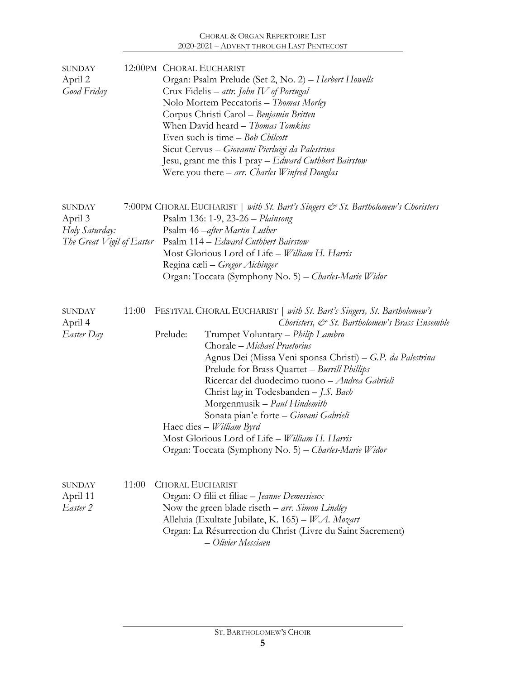| <b>SUNDAY</b><br>April 2<br>Good Friday                                 |       |                         | 12:00PM CHORAL EUCHARIST<br>Organ: Psalm Prelude (Set 2, No. 2) - Herbert Howells<br>Crux Fidelis – attr. John IV of Portugal<br>Nolo Mortem Peccatoris - Thomas Morley<br>Corpus Christi Carol - Benjamin Britten<br>When David heard - Thomas Tomkins<br>Even such is time – Bob Chilcott<br>Sicut Cervus - Giovanni Pierluigi da Palestrina<br>Jesu, grant me this I pray – Edward Cuthbert Bairstow<br>Were you there $-$ arr. Charles Winfred Douglas                                                                                                                                                              |
|-------------------------------------------------------------------------|-------|-------------------------|-------------------------------------------------------------------------------------------------------------------------------------------------------------------------------------------------------------------------------------------------------------------------------------------------------------------------------------------------------------------------------------------------------------------------------------------------------------------------------------------------------------------------------------------------------------------------------------------------------------------------|
| <b>SUNDAY</b><br>April 3<br>Holy Saturday:<br>The Great Vigil of Easter |       |                         | 7:00PM CHORAL EUCHARIST   with St. Bart's Singers & St. Bartholomew's Choristers<br>Psalm 136: 1-9, 23-26 - Plainsong<br>Psalm 46 – after Martin Luther<br>Psalm 114 – Edward Cuthbert Bairstow<br>Most Glorious Lord of Life - William H. Harris<br>Regina cæli – Gregor Aichinger<br>Organ: Toccata (Symphony No. 5) – Charles-Marie Widor                                                                                                                                                                                                                                                                            |
| <b>SUNDAY</b><br>April 4<br>Easter Day                                  | 11:00 | Prelude:                | FESTIVAL CHORAL EUCHARIST   with St. Bart's Singers, St. Bartholomew's<br>Choristers, & St. Bartholomew's Brass Ensemble<br>Trumpet Voluntary - Philip Lambro<br>Chorale - Michael Praetorius<br>Agnus Dei (Missa Veni sponsa Christi) – G.P. da Palestrina<br>Prelude for Brass Quartet - Burrill Phillips<br>Ricercar del duodecimo tuono - Andrea Gabrieli<br>Christ lag in Todesbanden - J.S. Bach<br>Morgenmusik – Paul Hindemith<br>Sonata pian'e forte - Giovani Gabrieli<br>Haec dies - William Byrd<br>Most Glorious Lord of Life - William H. Harris<br>Organ: Toccata (Symphony No. 5) - Charles-Marie Widor |
| <b>SUNDAY</b><br>April 11<br>Easter 2                                   | 11:00 | <b>CHORAL EUCHARIST</b> | Organ: O filii et filiae - Jeanne Demessieux<br>Now the green blade riseth $-$ arr. Simon Lindley<br>Alleluia (Exultate Jubilate, K. 165) - W.A. Mozart<br>Organ: La Résurrection du Christ (Livre du Saint Sacrement)<br>- Olivier Messiaen                                                                                                                                                                                                                                                                                                                                                                            |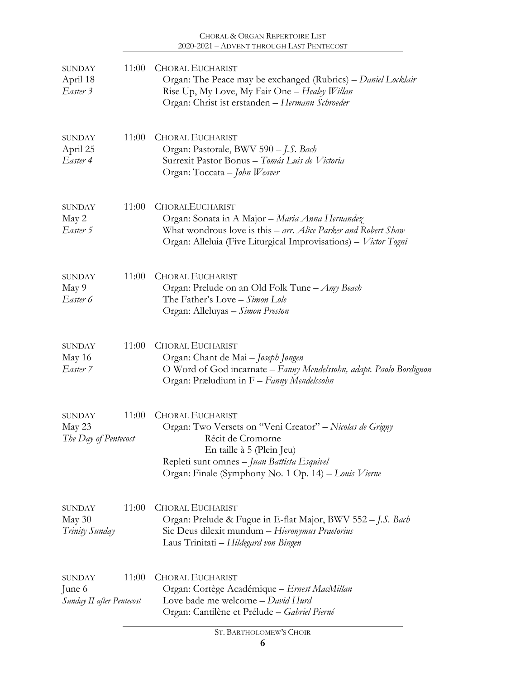| <b>SUNDAY</b><br>April 18<br>Easter 3           | 11:00 | <b>CHORAL EUCHARIST</b><br>Organ: The Peace may be exchanged (Rubrics) – Daniel Locklair<br>Rise Up, My Love, My Fair One - Healey Willan<br>Organ: Christ ist erstanden - Hermann Schroeder                                                 |
|-------------------------------------------------|-------|----------------------------------------------------------------------------------------------------------------------------------------------------------------------------------------------------------------------------------------------|
| SUNDAY<br>April 25<br>Easter 4                  | 11:00 | <b>CHORAL EUCHARIST</b><br>Organ: Pastorale, BWV 590 - J.S. Bach<br>Surrexit Pastor Bonus - Tomás Luis de Victoria<br>Organ: Toccata - John Weaver                                                                                           |
| <b>SUNDAY</b><br>May 2<br>Easter 5              | 11:00 | CHORALEUCHARIST<br>Organ: Sonata in A Major – Maria Anna Hernandez<br>What wondrous love is this - arr. Alice Parker and Robert Shaw<br>Organ: Alleluia (Five Liturgical Improvisations) - Victor Togni                                      |
| SUNDAY<br>May 9<br>Easter 6                     | 11:00 | <b>CHORAL EUCHARIST</b><br>Organ: Prelude on an Old Folk Tune - <i>Amy Beach</i><br>The Father's Love - Simon Lole<br>Organ: Alleluyas - Simon Preston                                                                                       |
| <b>SUNDAY</b><br>May 16<br>Easter 7             | 11:00 | <b>CHORAL EUCHARIST</b><br>Organ: Chant de Mai - Joseph Jongen<br>O Word of God incarnate - Fanny Mendelssohn, adapt. Paolo Bordignon<br>Organ: Præludium in F – Fanny Mendelssohn                                                           |
| <b>SUNDAY</b><br>May 23<br>The Day of Pentecost | 11:00 | <b>CHORAL EUCHARIST</b><br>Organ: Two Versets on "Veni Creator" – Nicolas de Grigny<br>Récit de Cromorne<br>En taille à 5 (Plein Jeu)<br>Repleti sunt omnes - Juan Battista Esquivel<br>Organ: Finale (Symphony No. 1 Op. 14) - Louis Vierne |
| SUNDAY<br>May $30$<br>Trinity Sunday            | 11:00 | <b>CHORAL EUCHARIST</b><br>Organ: Prelude & Fugue in E-flat Major, BWV 552 – J.S. Bach<br>Sic Deus dilexit mundum - Hieronymus Praetorius<br>Laus Trinitati – Hildegard von Bingen                                                           |
| SUNDAY<br>June 6<br>Sunday II after Pentecost   | 11:00 | <b>CHORAL EUCHARIST</b><br>Organ: Cortège Académique - Ernest MacMillan<br>Love bade me welcome - David Hurd<br>Organ: Cantilène et Prélude - Gabriel Pierné                                                                                 |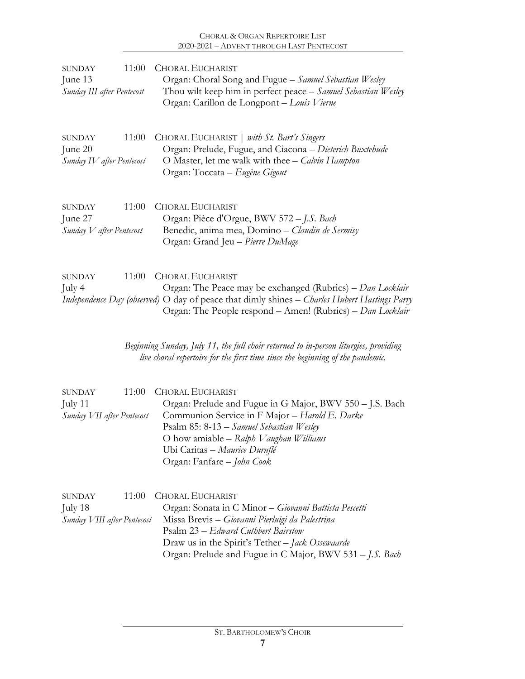| 11:00                            | <b>CHORAL EUCHARIST</b>                                                                                                                                                                                                                             |
|----------------------------------|-----------------------------------------------------------------------------------------------------------------------------------------------------------------------------------------------------------------------------------------------------|
| <b>SUNDAY</b>                    | Organ: Choral Song and Fugue - Samuel Sebastian Wesley                                                                                                                                                                                              |
| June 13                          | Thou wilt keep him in perfect peace - Samuel Sebastian Wesley                                                                                                                                                                                       |
| Sunday III after Pentecost       | Organ: Carillon de Longpont - Louis Vierne                                                                                                                                                                                                          |
| 11:00                            | CHORAL EUCHARIST   with St. Bart's Singers                                                                                                                                                                                                          |
| <b>SUNDAY</b>                    | Organ: Prelude, Fugue, and Ciacona - Dieterich Buxtehude                                                                                                                                                                                            |
| June 20                          | O Master, let me walk with thee – Calvin Hampton                                                                                                                                                                                                    |
| Sunday IV after Pentecost        | Organ: Toccata – Eugène Gigout                                                                                                                                                                                                                      |
| 11:00                            | <b>CHORAL EUCHARIST</b>                                                                                                                                                                                                                             |
| <b>SUNDAY</b>                    | Organ: Pièce d'Orgue, BWV 572 – J.S. Bach                                                                                                                                                                                                           |
| June 27                          | Benedic, anima mea, Domino – Claudin de Sermisy                                                                                                                                                                                                     |
| $S$ unday $V$ after Pentecost    | Organ: Grand Jeu - Pierre DuMage                                                                                                                                                                                                                    |
| 11:00<br><b>SUNDAY</b><br>July 4 | <b>CHORAL EUCHARIST</b><br>Organ: The Peace may be exchanged (Rubrics) - Dan Locklair<br>Independence Day (observed) O day of peace that dimly shines - Charles Hubert Hastings Parry<br>Organ: The People respond - Amen! (Rubrics) - Dan Locklair |
|                                  | Beginning Sunday, July 11, the full choir returned to in-person liturgies, providing<br>live choral repertoire for the first time since the beginning of the pandemic.                                                                              |

| <b>SUNDAY</b> | 11:00 CHORAL EUCHARIST                                                    |
|---------------|---------------------------------------------------------------------------|
| July 11       | Organ: Prelude and Fugue in G Major, BWV 550 – J.S. Bach                  |
|               | Sunday VII after Pentecost Communion Service in F Major - Harold E. Darke |
|               | Psalm 85: $8-13$ – Samuel Sebastian Wesley                                |
|               | O how amiable $-$ Ralph V aughan Williams                                 |
|               | Ubi Caritas – Maurice Duruflé                                             |
|               | Organ: Fanfare - John Cook                                                |

| SUNDAY                      | 11:00 CHORAL EUCHARIST                                   |
|-----------------------------|----------------------------------------------------------|
| July 18                     | Organ: Sonata in C Minor - Giovanni Battista Pescetti    |
| Sunday VIII after Pentecost | Missa Brevis – Giovanni Pierluigi da Palestrina          |
|                             | Psalm 23 – Edward Cuthbert Bairstow                      |
|                             | Draw us in the Spirit's Tether – Jack Ossewaarde         |
|                             | Organ: Prelude and Fugue in C Major, BWV 531 - J.S. Bach |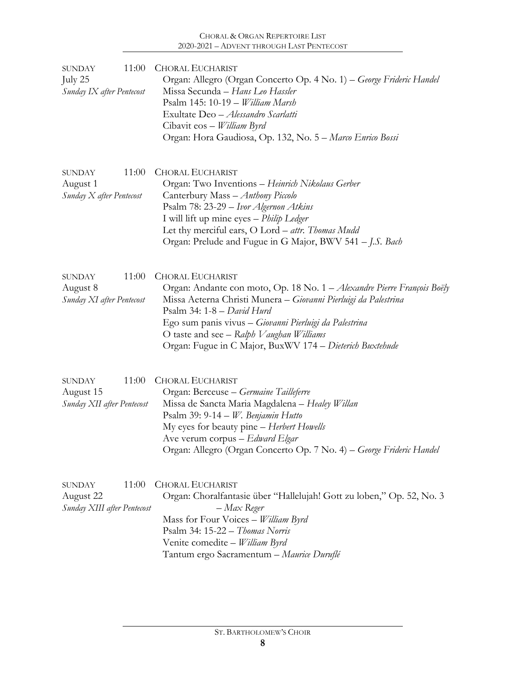| 11:00<br><b>SUNDAY</b><br>July 25<br>Sunday IX after Pentecost     | <b>CHORAL EUCHARIST</b><br>Organ: Allegro (Organ Concerto Op. 4 No. 1) - George Frideric Handel<br>Missa Secunda - Hans Leo Hassler<br>Psalm 145: 10-19 - William Marsh<br>Exultate Deo - Alessandro Scarlatti<br>Cibavit eos - William Byrd<br>Organ: Hora Gaudiosa, Op. 132, No. 5 - Marco Enrico Bossi                                                                |
|--------------------------------------------------------------------|--------------------------------------------------------------------------------------------------------------------------------------------------------------------------------------------------------------------------------------------------------------------------------------------------------------------------------------------------------------------------|
| 11:00<br><b>SUNDAY</b><br>August 1<br>Sunday X after Pentecost     | <b>CHORAL EUCHARIST</b><br>Organ: Two Inventions - Heinrich Nikolaus Gerber<br>Canterbury Mass - Anthony Piccolo<br>Psalm 78: 23-29 – Ivor Algernon Atkins<br>I will lift up mine eyes - Philip Ledger<br>Let thy merciful ears, O Lord - attr. Thomas Mudd<br>Organ: Prelude and Fugue in G Major, BWV 541 - J.S. Bach                                                  |
| 11:00<br><b>SUNDAY</b><br>August 8<br>Sunday XI after Pentecost    | <b>CHORAL EUCHARIST</b><br>Organ: Andante con moto, Op. 18 No. 1 - Alexandre Pierre François Boëly<br>Missa Aeterna Christi Munera – Giovanni Pierluigi da Palestrina<br>Psalm 34: $1-8 - David Hurd$<br>Ego sum panis vivus - Giovanni Pierluigi da Palestrina<br>O taste and see - Ralph V aughan Williams<br>Organ: Fugue in C Major, BuxWV 174 - Dieterich Buxtehude |
| 11:00<br><b>SUNDAY</b><br>August 15<br>Sunday XII after Pentecost  | <b>CHORAL EUCHARIST</b><br>Organ: Berceuse - Germaine Tailleferre<br>Missa de Sancta Maria Magdalena - Healey Willan<br>Psalm 39: 9-14 - W. Benjamin Hutto<br>My eyes for beauty pine - Herbert Howells<br>Ave verum corpus - Edward Elgar<br>Organ: Allegro (Organ Concerto Op. 7 No. 4) – George Frideric Handel                                                       |
| 11:00<br><b>SUNDAY</b><br>August 22<br>Sunday XIII after Pentecost | <b>CHORAL EUCHARIST</b><br>Organ: Choralfantasie über "Hallelujah! Gott zu loben," Op. 52, No. 3<br>– Max Reger<br>Mass for Four Voices - William Byrd<br>Psalm 34: 15-22 - Thomas Norris<br>Venite comedite - William Byrd<br>Tantum ergo Sacramentum - Maurice Duruflé                                                                                                 |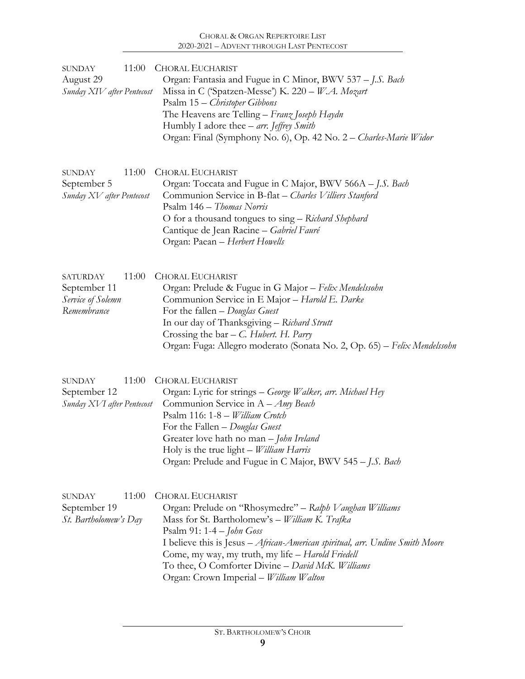| <b>SUNDAY</b><br>August 29<br>Sunday XIV after Pentecost            | 11:00 | <b>CHORAL EUCHARIST</b><br>Organ: Fantasia and Fugue in C Minor, BWV 537 - J.S. Bach<br>Missa in C ('Spatzen-Messe') K. 220 - W.A. Mozart<br>Psalm 15 – Christoper Gibbons<br>The Heavens are Telling – Franz Joseph Haydn<br>Humbly I adore thee $-$ arr. Jeffrey Smith<br>Organ: Final (Symphony No. 6), Op. 42 No. 2 – Charles-Marie Widor                                                            |
|---------------------------------------------------------------------|-------|----------------------------------------------------------------------------------------------------------------------------------------------------------------------------------------------------------------------------------------------------------------------------------------------------------------------------------------------------------------------------------------------------------|
| <b>SUNDAY</b><br>September 5<br>Sunday XV after Pentecost           | 11:00 | <b>CHORAL EUCHARIST</b><br>Organ: Toccata and Fugue in C Major, BWV 566A - J.S. Bach<br>Communion Service in B-flat - Charles Villiers Stanford<br>Psalm 146 – Thomas Norris<br>O for a thousand tongues to sing - Richard Shephard<br>Cantique de Jean Racine - Gabriel Fauré<br>Organ: Paean - Herbert Howells                                                                                         |
| <b>SATURDAY</b><br>September 11<br>Service of Solemn<br>Remembrance | 11:00 | <b>CHORAL EUCHARIST</b><br>Organ: Prelude & Fugue in G Major - Felix Mendelssohn<br>Communion Service in E Major - Harold E. Darke<br>For the fallen $-Douglas$ Guest<br>In our day of Thanksgiving - Richard Strutt<br>Crossing the bar $-$ C. Hubert. H. Parry<br>Organ: Fuga: Allegro moderato (Sonata No. 2, Op. 65) - Felix Mendelssohn                                                             |
| <b>SUNDAY</b><br>September 12<br>Sunday XVI after Pentecost         | 11:00 | <b>CHORAL EUCHARIST</b><br>Organ: Lyric for strings – George Walker, arr. Michael Hey<br>Communion Service in $A - Amy$ Beach<br>Psalm 116: 1-8 - William Crotch<br>For the Fallen - Douglas Guest<br>Greater love hath no man - John Ireland<br>Holy is the true light - William Harris<br>Organ: Prelude and Fugue in C Major, BWV 545 – J.S. Bach                                                     |
| <b>SUNDAY</b><br>September 19<br>St. Bartholomew's Day              | 11:00 | <b>CHORAL EUCHARIST</b><br>Organ: Prelude on "Rhosymedre" - Ralph Vaughan Williams<br>Mass for St. Bartholomew's - William K. Trafka<br>Psalm 91: $1-4$ - John Goss<br>I believe this is Jesus - African-American spiritual, arr. Undine Smith Moore<br>Come, my way, my truth, my life - Harold Friedell<br>To thee, O Comforter Divine - David McK. Williams<br>Organ: Crown Imperial - William Walton |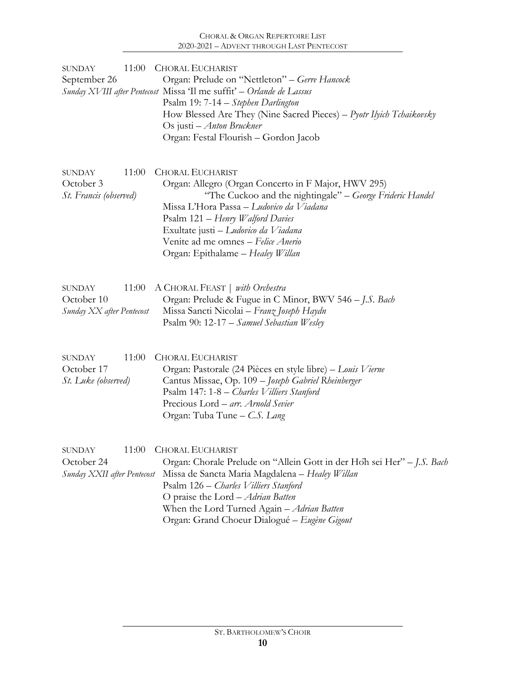| <b>SUNDAY</b><br>September 26                            | 11:00 | <b>CHORAL EUCHARIST</b><br>Organ: Prelude on "Nettleton" - Gerre Hancock<br>Sunday XVIII after Pentecost Missa 'Il me suffit' - Orlande de Lassus<br>Psalm 19: 7-14 – Stephen Darlington<br>How Blessed Are They (Nine Sacred Pieces) – Pyotr Ilyich Tchaikovsky<br>Os justi – Anton Bruckner<br>Organ: Festal Flourish - Gordon Jacob         |
|----------------------------------------------------------|-------|------------------------------------------------------------------------------------------------------------------------------------------------------------------------------------------------------------------------------------------------------------------------------------------------------------------------------------------------|
| <b>SUNDAY</b><br>October 3<br>St. Francis (observed)     | 11:00 | <b>CHORAL EUCHARIST</b><br>Organ: Allegro (Organ Concerto in F Major, HWV 295)<br>"The Cuckoo and the nightingale" - George Frideric Handel<br>Missa L'Hora Passa – Ludovico da Viadana<br>Psalm 121 – Henry Walford Davies<br>Exultate justi – Ludovico da Viadana<br>Venite ad me omnes - Felice Anerio<br>Organ: Epithalame - Healey Willan |
| <b>SUNDAY</b><br>October 10<br>Sunday XX after Pentecost | 11:00 | A CHORAL FEAST   with Orchestra<br>Organ: Prelude & Fugue in C Minor, BWV 546 - J.S. Bach<br>Missa Sancti Nicolai - Franz Joseph Haydn<br>Psalm 90: 12-17 – Samuel Sebastian Wesley                                                                                                                                                            |
| <b>SUNDAY</b><br>October 17<br>St. Luke (observed)       | 11:00 | <b>CHORAL EUCHARIST</b><br>Organ: Pastorale (24 Pièces en style libre) – Louis Vierne<br>Cantus Missae, Op. 109 - Joseph Gabriel Rheinberger<br>Psalm 147: 1-8 – Charles Villiers Stanford<br>Precious Lord – arr. Arnold Sevier<br>Organ: Tuba Tune - C.S. Lang                                                                               |
| SUNDAY<br>October 24<br>Sunday XXII after Pentecost      | 11:00 | <b>CHORAL EUCHARIST</b><br>Organ: Chorale Prelude on "Allein Gott in der Hoh sei Her" - J.S. Bach<br>Missa de Sancta Maria Magdalena - Healey Willan<br>Psalm 126 – Charles Villiers Stanford<br>O praise the Lord - Adrian Batten<br>When the Lord Turned Again - Adrian Batten<br>Organ: Grand Choeur Dialogué - Eugène Gigout               |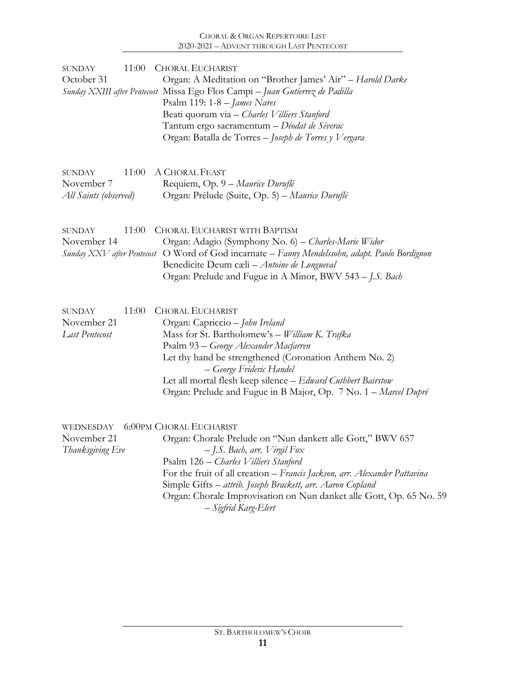| <b>SUNDAY</b><br>October 31                           | 11:00 | <b>CHORAL EUCHARIST</b><br>Organ: A Meditation on "Brother James' Air" - Harold Darke<br>Sunday XXIII after Pentecost Missa Ego Flos Campi - Juan Gutíerrez de Padilla<br>Psalm 119: $1-8$ – James Nares<br>Beati quorum via - Charles Villiers Stanford<br>Tantum ergo sacramentum – Déodat de Séverac<br>Organ: Batalla de Torres - Joseph de Torres y Vergara               |
|-------------------------------------------------------|-------|--------------------------------------------------------------------------------------------------------------------------------------------------------------------------------------------------------------------------------------------------------------------------------------------------------------------------------------------------------------------------------|
| <b>SUNDAY</b><br>November 7<br>All Saints (observed)  | 11:00 | A CHORAL FEAST<br>Requiem, Op. 9 – Maurice Duruflé<br>Organ: Prélude (Suite, Op. 5) - Maurice Duruflé                                                                                                                                                                                                                                                                          |
| <b>SUNDAY</b><br>November 14                          | 11:00 | CHORAL EUCHARIST WITH BAPTISM<br>Organ: Adagio (Symphony No. 6) - Charles-Marie Widor<br>Sunday XXV after Pentecost O Word of God incarnate - Fanny Mendelssohn, adapt. Paolo Bordignon<br>Benedicite Deum cæli - Antoine de Longueval<br>Organ: Prelude and Fugue in A Minor, BWV 543 – J.S. Bach                                                                             |
| <b>SUNDAY</b><br>November 21<br><b>Last Pentecost</b> | 11:00 | <b>CHORAL EUCHARIST</b><br>Organ: Capriccio - John Ireland<br>Mass for St. Bartholomew's - William K. Trafka<br>Psalm 93 – George Alexander Macfarren<br>Let thy hand be strengthened (Coronation Anthem No. 2)<br>– George Frideric Handel<br>Let all mortal flesh keep silence - Edward Cuthbert Bairstow<br>Organ: Prelude and Fugue in B Major, Op. 7 No. 1 - Marcel Dupré |

|                  | WEDNESDAY 6:00PM CHORAL EUCHARIST                                         |
|------------------|---------------------------------------------------------------------------|
| November 21      | Organ: Chorale Prelude on "Nun dankett alle Gott," BWV 657                |
| Thanksgiving Eve | $-I.S.$ Bach, arr. Virgil Fox                                             |
|                  | Psalm 126 – Charles Villiers Stanford                                     |
|                  | For the fruit of all creation - Francis Jackson, arr. Alexander Pattavina |
|                  | Simple Gifts – attrib. Joseph Brackett, arr. Aaron Copland                |
|                  | Organ: Chorale Improvisation on Nun danket alle Gott, Op. 65 No. 59       |
|                  | – Sigfrid Karg-Elert                                                      |
|                  |                                                                           |